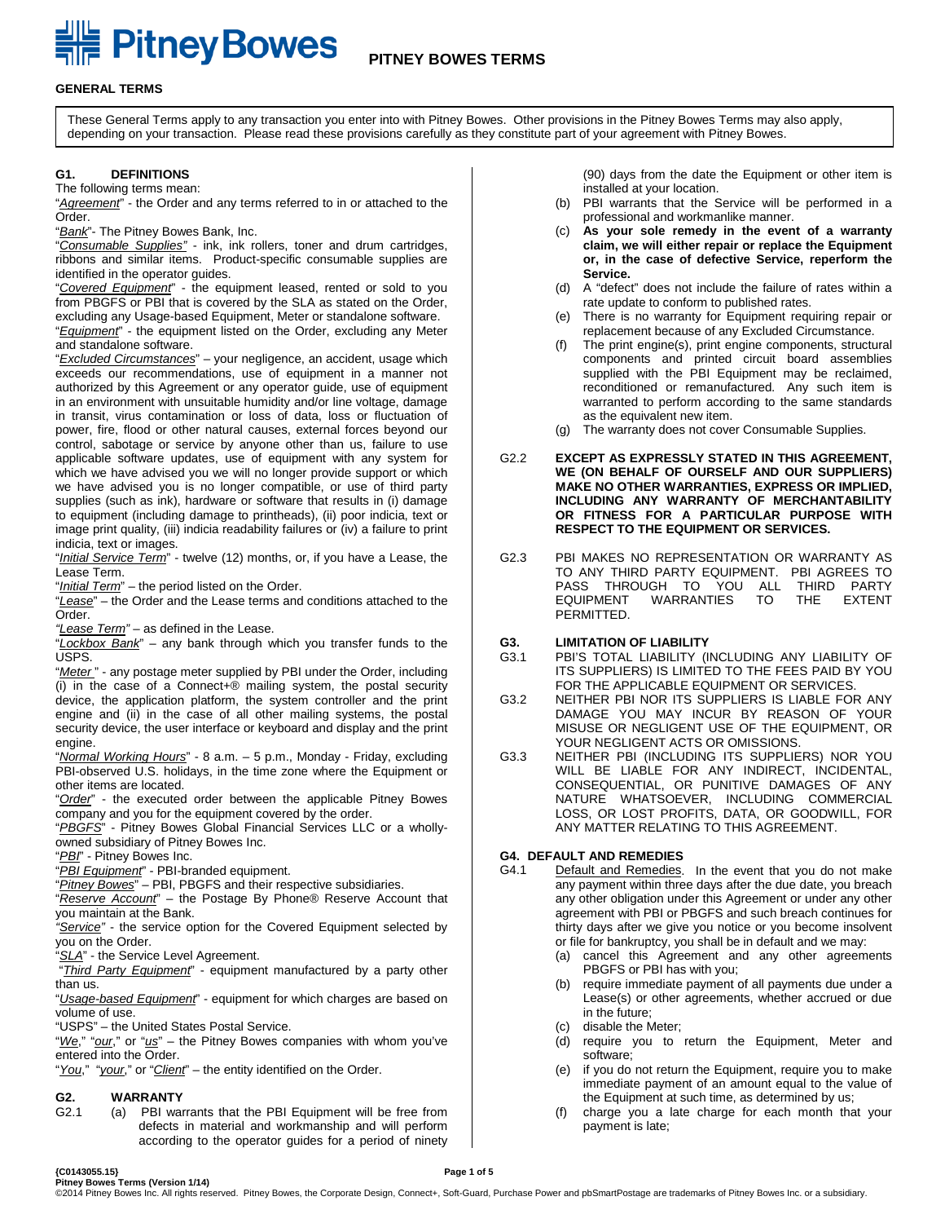# **EXAMPLE PITTICY BOWES PITNEY BOWES TERMS**

#### **GENERAL TERMS**

These General Terms apply to any transaction you enter into with Pitney Bowes. Other provisions in the Pitney Bowes Terms may also apply, depending on your transaction. Please read these provisions carefully as they constitute part of your agreement with Pitney Bowes.

#### **G1. DEFINITIONS**

The following terms mean:

"*Agreement*" - the Order and any terms referred to in or attached to the Order.

"*Bank*"- The Pitney Bowes Bank, Inc.

"*Consumable Supplies"* - ink, ink rollers, toner and drum cartridges, ribbons and similar items. Product-specific consumable supplies are identified in the operator guides.

"*Covered Equipment*" - the equipment leased, rented or sold to you from PBGFS or PBI that is covered by the SLA as stated on the Order, excluding any Usage-based Equipment, Meter or standalone software. "*Equipment*" - the equipment listed on the Order, excluding any Meter and standalone software.

"*Excluded Circumstances*" – your negligence, an accident, usage which exceeds our recommendations, use of equipment in a manner not authorized by this Agreement or any operator guide, use of equipment in an environment with unsuitable humidity and/or line voltage, damage in transit, virus contamination or loss of data, loss or fluctuation of power, fire, flood or other natural causes, external forces beyond our control, sabotage or service by anyone other than us, failure to use applicable software updates, use of equipment with any system for which we have advised you we will no longer provide support or which we have advised you is no longer compatible, or use of third party supplies (such as ink), hardware or software that results in (i) damage to equipment (including damage to printheads), (ii) poor indicia, text or image print quality, (iii) indicia readability failures or (iv) a failure to print indicia, text or images.

"*Initial Service Term*" - twelve (12) months, or, if you have a Lease, the Lease Term.

"*Initial Term*" – the period listed on the Order.

"*Lease*" – the Order and the Lease terms and conditions attached to the Order.

*"Lease Term"* – as defined in the Lease.

"*Lockbox Bank*" – any bank through which you transfer funds to the USPS.

"Meter" - any postage meter supplied by PBI under the Order, including (i) in the case of a Connect+® mailing system, the postal security device, the application platform, the system controller and the print engine and (ii) in the case of all other mailing systems, the postal security device, the user interface or keyboard and display and the print engine.

"*Normal Working Hours*" - 8 a.m. – 5 p.m., Monday - Friday, excluding PBI-observed U.S. holidays, in the time zone where the Equipment or other items are located.

"*Order*" - the executed order between the applicable Pitney Bowes company and you for the equipment covered by the order.

"*PBGFS*" - Pitney Bowes Global Financial Services LLC or a whollyowned subsidiary of Pitney Bowes Inc.

"*PBI*" - Pitney Bowes Inc.

"*PBI Equipment*" - PBI-branded equipment.

"*Pitney Bowes*" – PBI, PBGFS and their respective subsidiaries.

"*Reserve Account*" – the Postage By Phone® Reserve Account that you maintain at the Bank.

*"Service"* - the service option for the Covered Equipment selected by you on the Order.

"*SLA*" - the Service Level Agreement.

"*Third Party Equipment*" - equipment manufactured by a party other than us.

"*Usage-based Equipment*" - equipment for which charges are based on volume of use.

"USPS" – the United States Postal Service.

"*We*," "*our*," or "*us*" – the Pitney Bowes companies with whom you've entered into the Order.

"*You*," "*your*," or "*Client*" – the entity identified on the Order.

## **G2. WARRANTY**

(a) PBI warrants that the PBI Equipment will be free from defects in material and workmanship and will perform according to the operator guides for a period of ninety (90) days from the date the Equipment or other item is installed at your location.

- (b) PBI warrants that the Service will be performed in a professional and workmanlike manner.
- (c) **As your sole remedy in the event of a warranty claim, we will either repair or replace the Equipment or, in the case of defective Service, reperform the Service.**
- (d) A "defect" does not include the failure of rates within a rate update to conform to published rates.
- (e) There is no warranty for Equipment requiring repair or replacement because of any Excluded Circumstance.
- (f) The print engine(s), print engine components, structural components and printed circuit board assemblies supplied with the PBI Equipment may be reclaimed, reconditioned or remanufactured. Any such item is warranted to perform according to the same standards as the equivalent new item.
- (g) The warranty does not cover Consumable Supplies.
- G2.2 **EXCEPT AS EXPRESSLY STATED IN THIS AGREEMENT, WE (ON BEHALF OF OURSELF AND OUR SUPPLIERS) MAKE NO OTHER WARRANTIES, EXPRESS OR IMPLIED, INCLUDING ANY WARRANTY OF MERCHANTABILITY OR FITNESS FOR A PARTICULAR PURPOSE WITH RESPECT TO THE EQUIPMENT OR SERVICES.**
- G2.3 PBI MAKES NO REPRESENTATION OR WARRANTY AS TO ANY THIRD PARTY EQUIPMENT. PBI AGREES TO PASS THROUGH TO YOU ALL THIRD PARTY<br>EQUIPMENT WARRANTIES TO THE EXTENT WARRANTIES PERMITTED.
- **G3. LIMITATION OF LIABILITY**
- PBI'S TOTAL LIABILITY (INCLUDING ANY LIABILITY OF ITS SUPPLIERS) IS LIMITED TO THE FEES PAID BY YOU FOR THE APPLICABLE EQUIPMENT OR SERVICES.
- G3.2 NEITHER PBI NOR ITS SUPPLIERS IS LIABLE FOR ANY DAMAGE YOU MAY INCUR BY REASON OF YOUR MISUSE OR NEGLIGENT USE OF THE EQUIPMENT, OR YOUR NEGLIGENT ACTS OR OMISSIONS.
- G3.3 NEITHER PBI (INCLUDING ITS SUPPLIERS) NOR YOU WILL BE LIABLE FOR ANY INDIRECT, INCIDENTAL, CONSEQUENTIAL, OR PUNITIVE DAMAGES OF ANY NATURE WHATSOEVER, INCLUDING COMMERCIAL LOSS, OR LOST PROFITS, DATA, OR GOODWILL, FOR ANY MATTER RELATING TO THIS AGREEMENT.

#### **G4. DEFAULT AND REMEDIES**

- G4.1 Default and Remedies. In the event that you do not make any payment within three days after the due date, you breach any other obligation under this Agreement or under any other agreement with PBI or PBGFS and such breach continues for thirty days after we give you notice or you become insolvent or file for bankruptcy, you shall be in default and we may:
	- (a) cancel this Agreement and any other agreements PBGFS or PBI has with you;
	- (b) require immediate payment of all payments due under a Lease(s) or other agreements, whether accrued or due in the future;
	- (c) disable the Meter;
	- (d) require you to return the Equipment, Meter and software;
	- (e) if you do not return the Equipment, require you to make immediate payment of an amount equal to the value of the Equipment at such time, as determined by us;
	- (f) charge you a late charge for each month that your payment is late;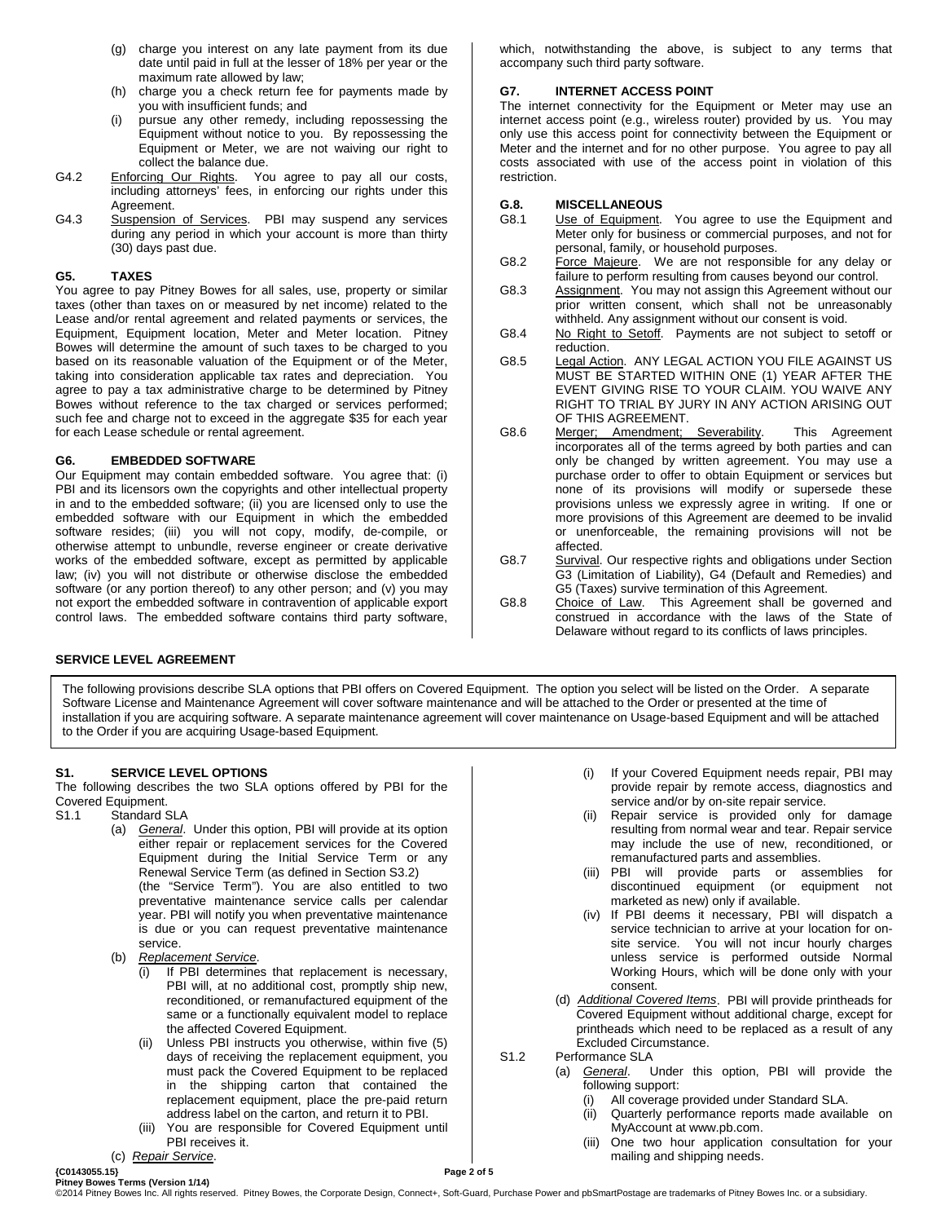- (g) charge you interest on any late payment from its due date until paid in full at the lesser of 18% per year or the maximum rate allowed by law;
- (h) charge you a check return fee for payments made by you with insufficient funds; and
- pursue any other remedy, including repossessing the Equipment without notice to you. By repossessing the Equipment or Meter, we are not waiving our right to collect the balance due.
- G4.2 Enforcing Our Rights. You agree to pay all our costs, including attorneys' fees, in enforcing our rights under this Agreement.
- G4.3 Suspension of Services. PBI may suspend any services during any period in which your account is more than thirty (30) days past due.

#### **G5. TAXES**

You agree to pay Pitney Bowes for all sales, use, property or similar taxes (other than taxes on or measured by net income) related to the Lease and/or rental agreement and related payments or services, the Equipment, Equipment location, Meter and Meter location. Pitney Bowes will determine the amount of such taxes to be charged to you based on its reasonable valuation of the Equipment or of the Meter, taking into consideration applicable tax rates and depreciation. You agree to pay a tax administrative charge to be determined by Pitney Bowes without reference to the tax charged or services performed; such fee and charge not to exceed in the aggregate \$35 for each year for each Lease schedule or rental agreement.

#### **G6. EMBEDDED SOFTWARE**

Our Equipment may contain embedded software. You agree that: (i) PBI and its licensors own the copyrights and other intellectual property in and to the embedded software; (ii) you are licensed only to use the embedded software with our Equipment in which the embedded software resides; (iii) you will not copy, modify, de-compile, or otherwise attempt to unbundle, reverse engineer or create derivative works of the embedded software, except as permitted by applicable law; (iv) you will not distribute or otherwise disclose the embedded software (or any portion thereof) to any other person; and (v) you may not export the embedded software in contravention of applicable export control laws. The embedded software contains third party software,

#### which, notwithstanding the above, is subject to any terms that accompany such third party software.

#### **G7. INTERNET ACCESS POINT**

The internet connectivity for the Equipment or Meter may use an internet access point (e.g., wireless router) provided by us. You may only use this access point for connectivity between the Equipment or Meter and the internet and for no other purpose. You agree to pay all costs associated with use of the access point in violation of this restriction.

## **G.8. MISCELLANEOUS**

- Use of Equipment. You agree to use the Equipment and Meter only for business or commercial purposes, and not for personal, family, or household purposes.
- G8.2 Force Majeure. We are not responsible for any delay or failure to perform resulting from causes beyond our control.
- G8.3 Assignment. You may not assign this Agreement without our prior written consent, which shall not be unreasonably withheld. Any assignment without our consent is void.
- G8.4 No Right to Setoff. Payments are not subject to setoff or reduction.
- G8.5 Legal Action. ANY LEGAL ACTION YOU FILE AGAINST US MUST BE STARTED WITHIN ONE (1) YEAR AFTER THE EVENT GIVING RISE TO YOUR CLAIM. YOU WAIVE ANY RIGHT TO TRIAL BY JURY IN ANY ACTION ARISING OUT OF THIS AGREEMENT.
- G8.6 Merger; Amendment; Severability. This Agreement incorporates all of the terms agreed by both parties and can only be changed by written agreement. You may use a purchase order to offer to obtain Equipment or services but none of its provisions will modify or supersede these provisions unless we expressly agree in writing. If one or more provisions of this Agreement are deemed to be invalid or unenforceable, the remaining provisions will not be affected.
- G8.7 Survival. Our respective rights and obligations under Section G3 (Limitation of Liability), G4 (Default and Remedies) and G5 (Taxes) survive termination of this Agreement.
- G8.8 Choice of Law. This Agreement shall be governed and construed in accordance with the laws of the State of Delaware without regard to its conflicts of laws principles.

#### **SERVICE LEVEL AGREEMENT**

The following provisions describe SLA options that PBI offers on Covered Equipment. The option you select will be listed on the Order. A separate Software License and Maintenance Agreement will cover software maintenance and will be attached to the Order or presented at the time of installation if you are acquiring software. A separate maintenance agreement will cover maintenance on Usage-based Equipment and will be attached to the Order if you are acquiring Usage-based Equipment.

#### **S1. SERVICE LEVEL OPTIONS**

The following describes the two SLA options offered by PBI for the Covered Equipment.<br>S1.1 Standard S

- Standard SLA
	- (a) *General*. Under this option, PBI will provide at its option either repair or replacement services for the Covered Equipment during the Initial Service Term or any Renewal Service Term (as defined in Section S3.2) (the "Service Term"). You are also entitled to two preventative maintenance service calls per calendar year. PBI will notify you when preventative maintenance is due or you can request preventative maintenance service.
	- (b) *Replacement Service*.
		- (i) If PBI determines that replacement is necessary, PBI will, at no additional cost, promptly ship new, reconditioned, or remanufactured equipment of the same or a functionally equivalent model to replace the affected Covered Equipment.
		- (ii) Unless PBI instructs you otherwise, within five (5) days of receiving the replacement equipment, you must pack the Covered Equipment to be replaced in the shipping carton that contained the replacement equipment, place the pre-paid return address label on the carton, and return it to PBI.
	- (iii) You are responsible for Covered Equipment until PBI receives it. (c) *Repair Service*.
- (i) If your Covered Equipment needs repair, PBI may provide repair by remote access, diagnostics and service and/or by on-site repair service.
- (ii) Repair service is provided only for damage resulting from normal wear and tear. Repair service may include the use of new, reconditioned, or remanufactured parts and assemblies.
- (iii) PBI will provide parts or assemblies for discontinued equipment (or equipment not marketed as new) only if available.
- (iv) If PBI deems it necessary, PBI will dispatch a service technician to arrive at your location for onsite service. You will not incur hourly charges unless service is performed outside Normal Working Hours, which will be done only with your consent.
- (d) *Additional Covered Items*. PBI will provide printheads for Covered Equipment without additional charge, except for printheads which need to be replaced as a result of any Excluded Circumstance.
- S1.2 Performance SLA<br>(a) *General*. L
	- General. Under this option, PBI will provide the following support:
		- (i) All coverage provided under Standard SLA.
		- (ii) Quarterly performance reports made available on MyAccount at [www.pb.com.](http://www.pb.com/)
		- (iii) One two hour application consultation for your mailing and shipping needs.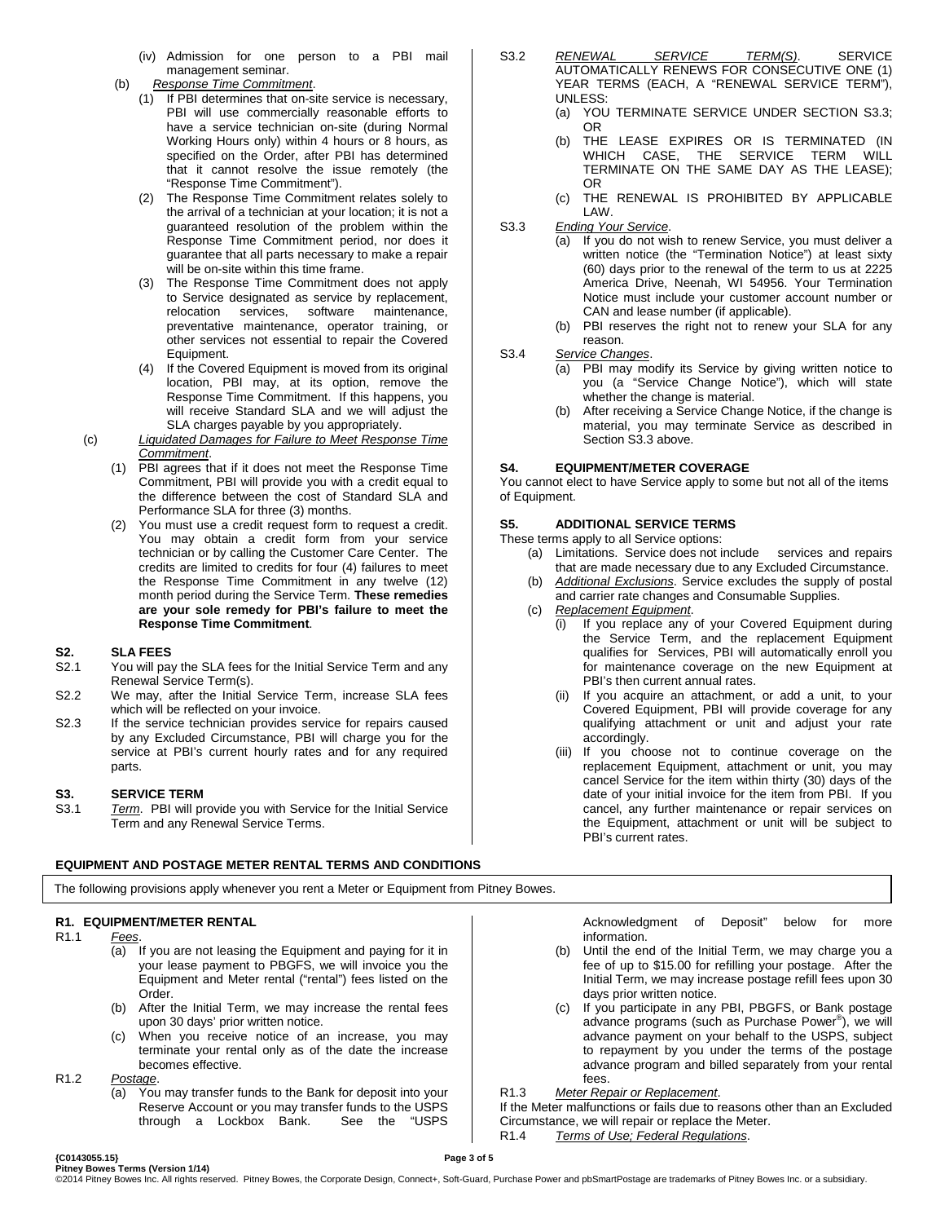- (iv) Admission for one person to a PBI mail management seminar.
- (b) *Response Time Commitment*.
	- (1) If PBI determines that on-site service is necessary, PBI will use commercially reasonable efforts to have a service technician on-site (during Normal Working Hours only) within 4 hours or 8 hours, as specified on the Order, after PBI has determined that it cannot resolve the issue remotely (the "Response Time Commitment").
	- (2) The Response Time Commitment relates solely to the arrival of a technician at your location; it is not a guaranteed resolution of the problem within the Response Time Commitment period, nor does it guarantee that all parts necessary to make a repair will be on-site within this time frame.
	- (3) The Response Time Commitment does not apply to Service designated as service by replacement, relocation services, software maintenance, preventative maintenance, operator training, or other services not essential to repair the Covered Equipment.
	- (4) If the Covered Equipment is moved from its original location, PBI may, at its option, remove the Response Time Commitment. If this happens, you will receive Standard SLA and we will adjust the SLA charges payable by you appropriately.
- (c) *Liquidated Damages for Failure to Meet Response Time Commitment*.
	- (1) PBI agrees that if it does not meet the Response Time Commitment, PBI will provide you with a credit equal to the difference between the cost of Standard SLA and Performance SLA for three (3) months.
	- (2) You must use a credit request form to request a credit. You may obtain a credit form from your service technician or by calling the Customer Care Center. The credits are limited to credits for four (4) failures to meet the Response Time Commitment in any twelve (12) month period during the Service Term. **These remedies are your sole remedy for PBI's failure to meet the Response Time Commitment**.

## **S2. SLA FEES**

- You will pay the SLA fees for the Initial Service Term and any Renewal Service Term(s).
- S2.2 We may, after the Initial Service Term, increase SLA fees which will be reflected on your invoice.
- S2.3 If the service technician provides service for repairs caused by any Excluded Circumstance, PBI will charge you for the service at PBI's current hourly rates and for any required parts.

#### **S3. SERVICE TERM**

S3.1 *Term*. PBI will provide you with Service for the Initial Service Term and any Renewal Service Terms.

**EQUIPMENT AND POSTAGE METER RENTAL TERMS AND CONDITIONS**

- S3.2 *RENEWAL SERVICE TERM(S)*. SERVICE AUTOMATICALLY RENEWS FOR CONSECUTIVE ONE (1) YEAR TERMS (EACH, A "RENEWAL SERVICE TERM"), UNLESS:
	- (a) YOU TERMINATE SERVICE UNDER SECTION S3.3; OR
	- (b) THE LEASE EXPIRES OR IS TERMINATED (IN WHICH CASE, THE SERVICE TERM WILL TERMINATE ON THE SAME DAY AS THE LEASE); OR
	- (c) THE RENEWAL IS PROHIBITED BY APPLICABLE LAW.
- S3.3 *Ending Your Service*.
	- (a) If you do not wish to renew Service, you must deliver a written notice (the "Termination Notice") at least sixty (60) days prior to the renewal of the term to us at 2225 America Drive, Neenah, WI 54956. Your Termination Notice must include your customer account number or CAN and lease number (if applicable).
	- (b) PBI reserves the right not to renew your SLA for any reason.
- S3.4 *Service Changes*.
	- (a) PBI may modify its Service by giving written notice to you (a "Service Change Notice"), which will state whether the change is material.
	- (b) After receiving a Service Change Notice, if the change is material, you may terminate Service as described in Section S3.3 above.

#### **S4. EQUIPMENT/METER COVERAGE**

You cannot elect to have Service apply to some but not all of the items of Equipment.

#### **S5. ADDITIONAL SERVICE TERMS**

These terms apply to all Service options:

- (a) Limitations. Service does not include services and repairs that are made necessary due to any Excluded Circumstance.
- (b) *Additional Exclusions*. Service excludes the supply of postal and carrier rate changes and Consumable Supplies.
- (c) *Replacement Equipment*.
	- (i) If you replace any of your Covered Equipment during the Service Term, and the replacement Equipment qualifies for Services, PBI will automatically enroll you for maintenance coverage on the new Equipment at PBI's then current annual rates.
	- (ii) If you acquire an attachment, or add a unit, to your Covered Equipment, PBI will provide coverage for any qualifying attachment or unit and adjust your rate accordingly.
	- (iii) If you choose not to continue coverage on the replacement Equipment, attachment or unit, you may cancel Service for the item within thirty (30) days of the date of your initial invoice for the item from PBI. If you cancel, any further maintenance or repair services on the Equipment, attachment or unit will be subject to PBI's current rates.

### The following provisions apply whenever you rent a Meter or Equipment from Pitney Bowes.

**R1. EQUIPMENT/METER RENTAL**

- R1.1 *Fees*.
	- (a) If you are not leasing the Equipment and paying for it in your lease payment to PBGFS, we will invoice you the Equipment and Meter rental ("rental") fees listed on the Order.
	- (b) After the Initial Term, we may increase the rental fees upon 30 days' prior written notice.
	- (c) When you receive notice of an increase, you may terminate your rental only as of the date the increase becomes effective.
- R1.2 *Postage*.
	- (a) You may transfer funds to the Bank for deposit into your Reserve Account or you may transfer funds to the USPS<br>through a Lockbox Bank. See the "USPS through a Lockbox Bank.

Acknowledgment of Deposit" below for more information.

- (b) Until the end of the Initial Term, we may charge you a fee of up to \$15.00 for refilling your postage. After the Initial Term, we may increase postage refill fees upon 30 days prior written notice.
- (c) If you participate in any PBI, PBGFS, or Bank postage advance programs (such as Purchase Power® ), we will advance payment on your behalf to the USPS, subject to repayment by you under the terms of the postage advance program and billed separately from your rental fees.
- R1.3 *Meter Repair or Replacement*.

If the Meter malfunctions or fails due to reasons other than an Excluded Circumstance, we will repair or replace the Meter.

R1.4 *Terms of Use; Federal Regulations*.

(C0143055.15)<br>Pitney Bowes Terms (Version 1/14)<br>©2014 Pitney Bowes Inc. All rights reserved. Pitney Bowes, the Corporate Design, Connect+, Soft-Guard, Purchase Power and pbSmartPostage are trademarks of Pitney Bowes Inc.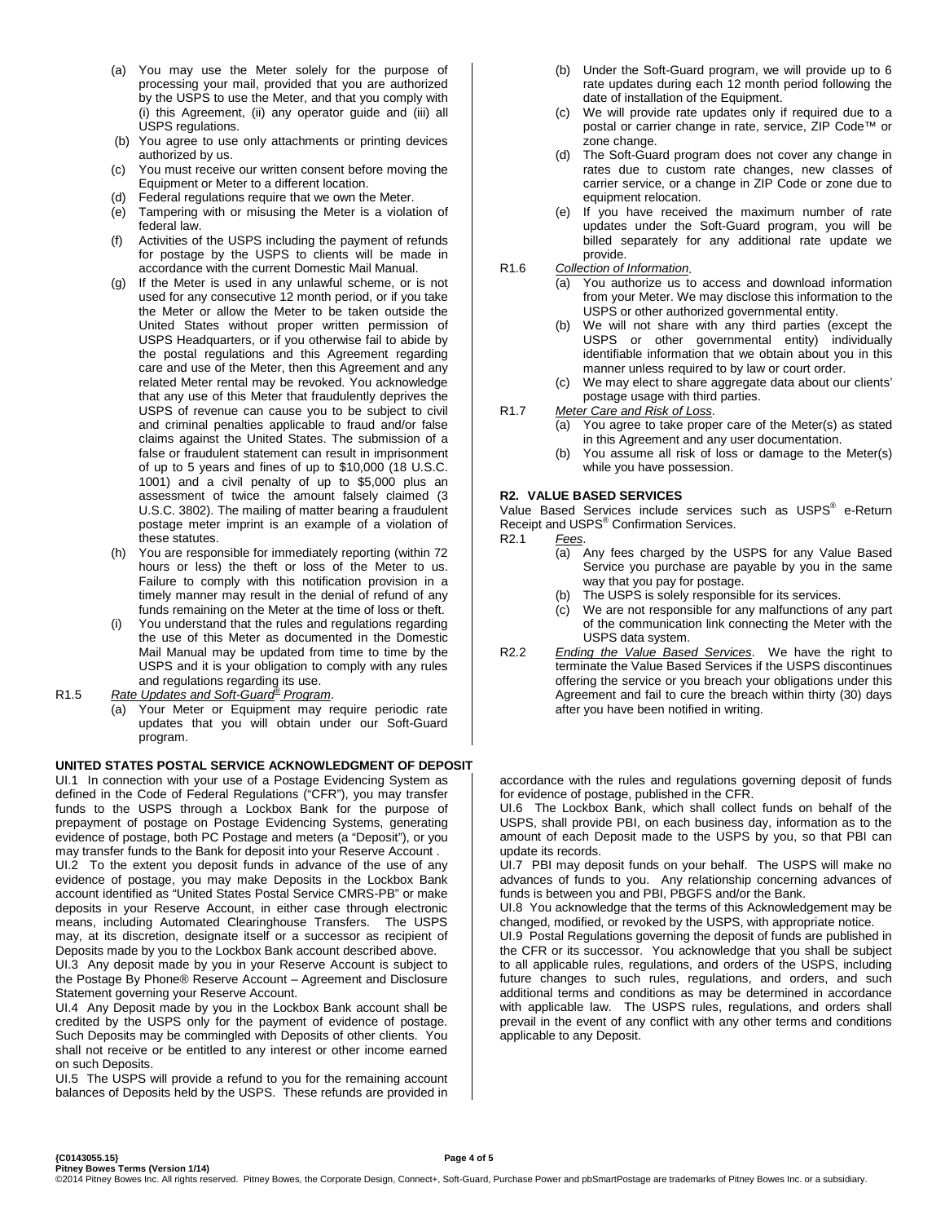- (a) You may use the Meter solely for the purpose of processing your mail, provided that you are authorized by the USPS to use the Meter, and that you comply with (i) this Agreement, (ii) any operator guide and (iii) all USPS regulations.
- (b) You agree to use only attachments or printing devices authorized by us.
- (c) You must receive our written consent before moving the Equipment or Meter to a different location.
- (d) Federal regulations require that we own the Meter.
- (e) Tampering with or misusing the Meter is a violation of federal law.
- Activities of the USPS including the payment of refunds for postage by the USPS to clients will be made in accordance with the current Domestic Mail Manual.
- (g) If the Meter is used in any unlawful scheme, or is not used for any consecutive 12 month period, or if you take the Meter or allow the Meter to be taken outside the United States without proper written permission of USPS Headquarters, or if you otherwise fail to abide by the postal regulations and this Agreement regarding care and use of the Meter, then this Agreement and any related Meter rental may be revoked. You acknowledge that any use of this Meter that fraudulently deprives the USPS of revenue can cause you to be subject to civil and criminal penalties applicable to fraud and/or false claims against the United States. The submission of a false or fraudulent statement can result in imprisonment of up to 5 years and fines of up to \$10,000 (18 U.S.C. 1001) and a civil penalty of up to \$5,000 plus an assessment of twice the amount falsely claimed (3 U.S.C. 3802). The mailing of matter bearing a fraudulent postage meter imprint is an example of a violation of these statutes.
- (h) You are responsible for immediately reporting (within 72 hours or less) the theft or loss of the Meter to us. Failure to comply with this notification provision in a timely manner may result in the denial of refund of any funds remaining on the Meter at the time of loss or theft.
- (i) You understand that the rules and regulations regarding the use of this Meter as documented in the Domestic Mail Manual may be updated from time to time by the USPS and it is your obligation to comply with any rules and regulations regarding its use.
- R1.5 *Rate Updates and Soft-Guard® Program*.
	- (a) Your Meter or Equipment may require periodic rate updates that you will obtain under our Soft-Guard program.

#### **UNITED STATES POSTAL SERVICE ACKNOWLEDGMENT OF DEPOSIT**

UI.1 In connection with your use of a Postage Evidencing System as defined in the Code of Federal Regulations ("CFR"), you may transfer funds to the USPS through a Lockbox Bank for the purpose of prepayment of postage on Postage Evidencing Systems, generating evidence of postage, both PC Postage and meters (a "Deposit"), or you may transfer funds to the Bank for deposit into your Reserve Account .

UI.2 To the extent you deposit funds in advance of the use of any evidence of postage, you may make Deposits in the Lockbox Bank account identified as "United States Postal Service CMRS-PB" or make deposits in your Reserve Account, in either case through electronic means, including Automated Clearinghouse Transfers. The USPS may, at its discretion, designate itself or a successor as recipient of Deposits made by you to the Lockbox Bank account described above.

UI.3 Any deposit made by you in your Reserve Account is subject to the Postage By Phone® Reserve Account – Agreement and Disclosure Statement governing your Reserve Account.

UI.4 Any Deposit made by you in the Lockbox Bank account shall be credited by the USPS only for the payment of evidence of postage. Such Deposits may be commingled with Deposits of other clients. You shall not receive or be entitled to any interest or other income earned on such Deposits.

UI.5 The USPS will provide a refund to you for the remaining account balances of Deposits held by the USPS. These refunds are provided in

- (b) Under the Soft-Guard program, we will provide up to 6 rate updates during each 12 month period following the date of installation of the Equipment.
- (c) We will provide rate updates only if required due to a postal or carrier change in rate, service, ZIP Code™ or zone change.
- (d) The Soft-Guard program does not cover any change in rates due to custom rate changes, new classes of carrier service, or a change in ZIP Code or zone due to equipment relocation.
- (e) If you have received the maximum number of rate updates under the Soft-Guard program, you will be billed separately for any additional rate update we provide.

R1.6 *Collection of Information*.

- (a) You authorize us to access and download information from your Meter. We may disclose this information to the USPS or other authorized governmental entity.
- (b) We will not share with any third parties (except the USPS or other governmental entity) individually identifiable information that we obtain about you in this manner unless required to by law or court order.
- (c) We may elect to share aggregate data about our clients' postage usage with third parties.
- R1.7 *Meter Care and Risk of Loss*.
	- (a) You agree to take proper care of the Meter(s) as stated in this Agreement and any user documentation.
	- (b) You assume all risk of loss or damage to the Meter(s) while you have possession.

#### **R2. VALUE BASED SERVICES**

Value Based Services include services such as USPS<sup>®</sup> e-Return Receipt and USPS<sup>®</sup> Confirmation Services.<br>R2.1 Fees.

- Fees.
	- (a) Any fees charged by the USPS for any Value Based Service you purchase are payable by you in the same way that you pay for postage.
	- (b) The USPS is solely responsible for its services.
	- (c) We are not responsible for any malfunctions of any part of the communication link connecting the Meter with the USPS data system.
- R2.2 *Ending the Value Based Services*. We have the right to terminate the Value Based Services if the USPS discontinues offering the service or you breach your obligations under this Agreement and fail to cure the breach within thirty (30) days after you have been notified in writing.

accordance with the rules and regulations governing deposit of funds for evidence of postage, published in the CFR.

UI.6 The Lockbox Bank, which shall collect funds on behalf of the USPS, shall provide PBI, on each business day, information as to the amount of each Deposit made to the USPS by you, so that PBI can update its records.

UI.7 PBI may deposit funds on your behalf. The USPS will make no advances of funds to you. Any relationship concerning advances of funds is between you and PBI, PBGFS and/or the Bank.

UI.8 You acknowledge that the terms of this Acknowledgement may be changed, modified, or revoked by the USPS, with appropriate notice.

UI.9 Postal Regulations governing the deposit of funds are published in the CFR or its successor. You acknowledge that you shall be subject to all applicable rules, regulations, and orders of the USPS, including future changes to such rules, regulations, and orders, and such additional terms and conditions as may be determined in accordance with applicable law. The USPS rules, regulations, and orders shall prevail in the event of any conflict with any other terms and conditions applicable to any Deposit.